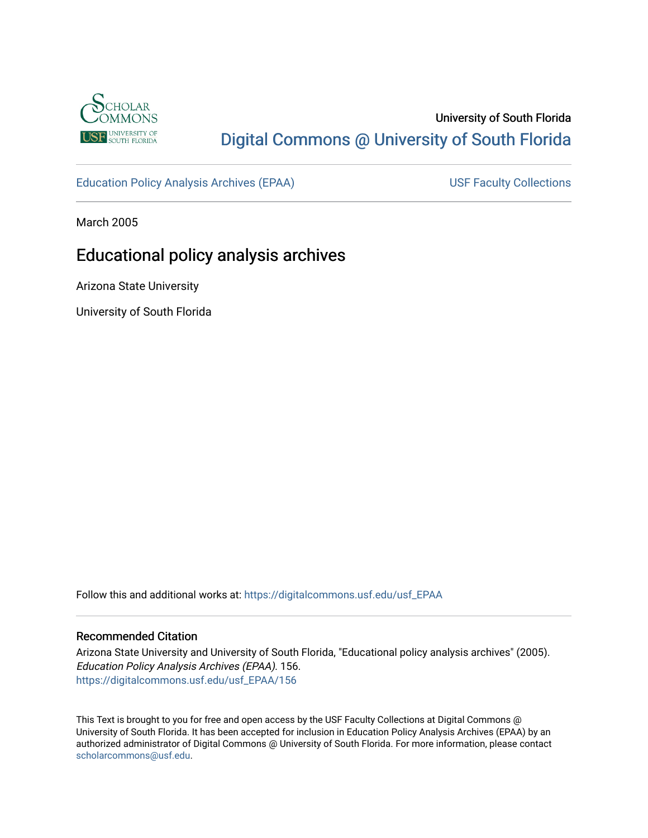

# University of South Florida [Digital Commons @ University of South Florida](https://digitalcommons.usf.edu/)

[Education Policy Analysis Archives \(EPAA\)](https://digitalcommons.usf.edu/usf_EPAA) USF Faculty Collections

March 2005

# Educational policy analysis archives

Arizona State University

University of South Florida

Follow this and additional works at: [https://digitalcommons.usf.edu/usf\\_EPAA](https://digitalcommons.usf.edu/usf_EPAA?utm_source=digitalcommons.usf.edu%2Fusf_EPAA%2F156&utm_medium=PDF&utm_campaign=PDFCoverPages)

#### Recommended Citation

Arizona State University and University of South Florida, "Educational policy analysis archives" (2005). Education Policy Analysis Archives (EPAA). 156. [https://digitalcommons.usf.edu/usf\\_EPAA/156](https://digitalcommons.usf.edu/usf_EPAA/156?utm_source=digitalcommons.usf.edu%2Fusf_EPAA%2F156&utm_medium=PDF&utm_campaign=PDFCoverPages)

This Text is brought to you for free and open access by the USF Faculty Collections at Digital Commons @ University of South Florida. It has been accepted for inclusion in Education Policy Analysis Archives (EPAA) by an authorized administrator of Digital Commons @ University of South Florida. For more information, please contact [scholarcommons@usf.edu.](mailto:scholarcommons@usf.edu)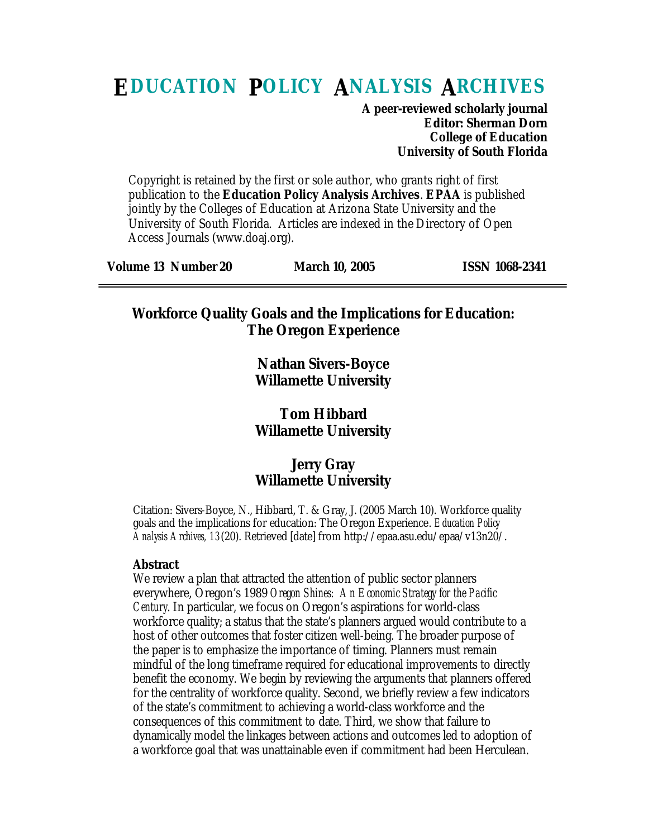# **EDUCATION POLICY ANALYSIS ARCHIVES**

**A peer-reviewed scholarly journal Editor: Sherman Dorn College of Education University of South Florida**

Copyright is retained by the first or sole author, who grants right of first publication to the **Education Policy Analysis Archives**. **EPAA** is published jointly by the Colleges of Education at Arizona State University and the University of South Florida. Articles are indexed in the Directory of Open Access Journals (www.doaj.org).

| <b>Volume 13 Number 20</b> | <b>March 10, 2005</b> | <b>ISSN 1068-2341</b> |
|----------------------------|-----------------------|-----------------------|
|                            |                       |                       |

### **Workforce Quality Goals and the Implications for Education: The Oregon Experience**

**Nathan Sivers-Boyce Willamette University**

### **Tom Hibbard Willamette University**

### **Jerry Gray Willamette University**

Citation: Sivers-Boyce, N., Hibbard, T. & Gray, J. (2005 March 10). Workforce quality goals and the implications for education: The Oregon Experience. *Education Policy Analysis Archives, 13*(20). Retrieved [date] from http://epaa.asu.edu/epaa/v13n20/.

### **Abstract**

We review a plan that attracted the attention of public sector planners everywhere, Oregon's 1989 *Oregon Shines: An Economic Strategy for the Pacific Century*. In particular, we focus on Oregon's aspirations for world-class workforce quality; a status that the state's planners argued would contribute to a host of other outcomes that foster citizen well-being. The broader purpose of the paper is to emphasize the importance of timing. Planners must remain mindful of the long timeframe required for educational improvements to directly benefit the economy. We begin by reviewing the arguments that planners offered for the centrality of workforce quality. Second, we briefly review a few indicators of the state's commitment to achieving a world-class workforce and the consequences of this commitment to date. Third, we show that failure to dynamically model the linkages between actions and outcomes led to adoption of a workforce goal that was unattainable even if commitment had been Herculean.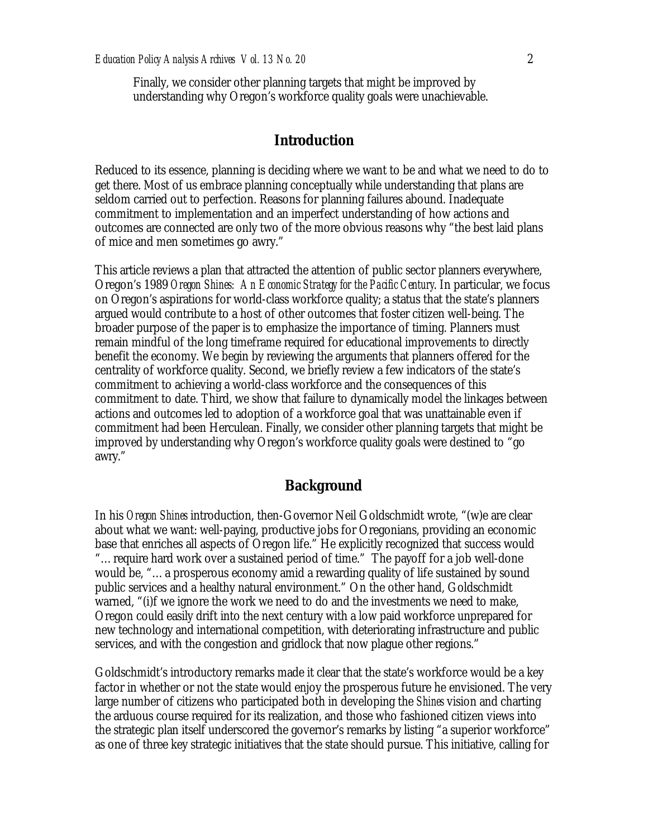Finally, we consider other planning targets that might be improved by understanding why Oregon's workforce quality goals were unachievable.

#### **Introduction**

Reduced to its essence, planning is deciding where we want to be and what we need to do to get there. Most of us embrace planning conceptually while understanding that plans are seldom carried out to perfection. Reasons for planning failures abound. Inadequate commitment to implementation and an imperfect understanding of how actions and outcomes are connected are only two of the more obvious reasons why "the best laid plans of mice and men sometimes go awry."

This article reviews a plan that attracted the attention of public sector planners everywhere, Oregon's 1989 *Oregon Shines: An Economic Strategy for the Pacific Century*. In particular, we focus on Oregon's aspirations for world-class workforce quality; a status that the state's planners argued would contribute to a host of other outcomes that foster citizen well-being. The broader purpose of the paper is to emphasize the importance of timing. Planners must remain mindful of the long timeframe required for educational improvements to directly benefit the economy. We begin by reviewing the arguments that planners offered for the centrality of workforce quality. Second, we briefly review a few indicators of the state's commitment to achieving a world-class workforce and the consequences of this commitment to date. Third, we show that failure to dynamically model the linkages between actions and outcomes led to adoption of a workforce goal that was unattainable even if commitment had been Herculean. Finally, we consider other planning targets that might be improved by understanding why Oregon's workforce quality goals were destined to "go awry."

### **Background**

In his *Oregon Shines* introduction, then-Governor Neil Goldschmidt wrote, "(w)e are clear about what we want: well-paying, productive jobs for Oregonians, providing an economic base that enriches all aspects of Oregon life." He explicitly recognized that success would "…require hard work over a sustained period of time." The payoff for a job well-done would be, "…a prosperous economy amid a rewarding quality of life sustained by sound public services and a healthy natural environment." On the other hand, Goldschmidt warned, "(i)f we ignore the work we need to do and the investments we need to make, Oregon could easily drift into the next century with a low paid workforce unprepared for new technology and international competition, with deteriorating infrastructure and public services, and with the congestion and gridlock that now plague other regions."

Goldschmidt's introductory remarks made it clear that the state's workforce would be a key factor in whether or not the state would enjoy the prosperous future he envisioned. The very large number of citizens who participated both in developing the *Shines* vision and charting the arduous course required for its realization, and those who fashioned citizen views into the strategic plan itself underscored the governor's remarks by listing "a superior workforce" as one of three key strategic initiatives that the state should pursue. This initiative, calling for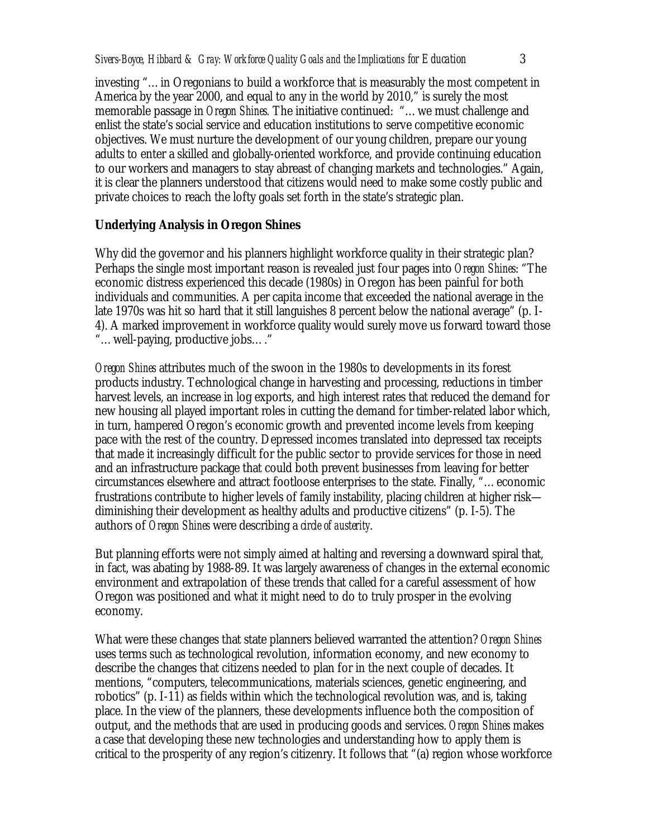investing "…in Oregonians to build a workforce that is measurably the most competent in America by the year 2000, and equal to any in the world by 2010," is surely the most memorable passage in *Oregon Shines.* The initiative continued: "…we must challenge and enlist the state's social service and education institutions to serve competitive economic objectives. We must nurture the development of our young children, prepare our young adults to enter a skilled and globally-oriented workforce, and provide continuing education to our workers and managers to stay abreast of changing markets and technologies." Again, it is clear the planners understood that citizens would need to make some costly public and private choices to reach the lofty goals set forth in the state's strategic plan.

### **Underlying Analysis in** *Oregon Shines*

Why did the governor and his planners highlight workforce quality in their strategic plan? Perhaps the single most important reason is revealed just four pages into *Oregon Shines*: "The economic distress experienced this decade (1980s) in Oregon has been painful for both individuals and communities. A per capita income that exceeded the national average in the late 1970s was hit so hard that it still languishes 8 percent below the national average" (p. I-4). A marked improvement in workforce quality would surely move us forward toward those "…well-paying, productive jobs…."

*Oregon Shines* attributes much of the swoon in the 1980s to developments in its forest products industry. Technological change in harvesting and processing, reductions in timber harvest levels, an increase in log exports, and high interest rates that reduced the demand for new housing all played important roles in cutting the demand for timber-related labor which, in turn, hampered Oregon's economic growth and prevented income levels from keeping pace with the rest of the country. Depressed incomes translated into depressed tax receipts that made it increasingly difficult for the public sector to provide services for those in need and an infrastructure package that could both prevent businesses from leaving for better circumstances elsewhere and attract footloose enterprises to the state. Finally, "…economic frustrations contribute to higher levels of family instability, placing children at higher risk diminishing their development as healthy adults and productive citizens" (p. I-5). The authors of *Oregon Shines* were describing a *circle of austerity*.

But planning efforts were not simply aimed at halting and reversing a downward spiral that, in fact, was abating by 1988-89. It was largely awareness of changes in the external economic environment and extrapolation of these trends that called for a careful assessment of how Oregon was positioned and what it might need to do to truly prosper in the evolving economy.

What were these changes that state planners believed warranted the attention? *Oregon Shines* uses terms such as technological revolution, information economy, and new economy to describe the changes that citizens needed to plan for in the next couple of decades. It mentions, "computers, telecommunications, materials sciences, genetic engineering, and robotics" (p. I-11) as fields within which the technological revolution was, and is, taking place. In the view of the planners, these developments influence both the composition of output, and the methods that are used in producing goods and services. *Oregon Shines* makes a case that developing these new technologies and understanding how to apply them is critical to the prosperity of any region's citizenry. It follows that "(a) region whose workforce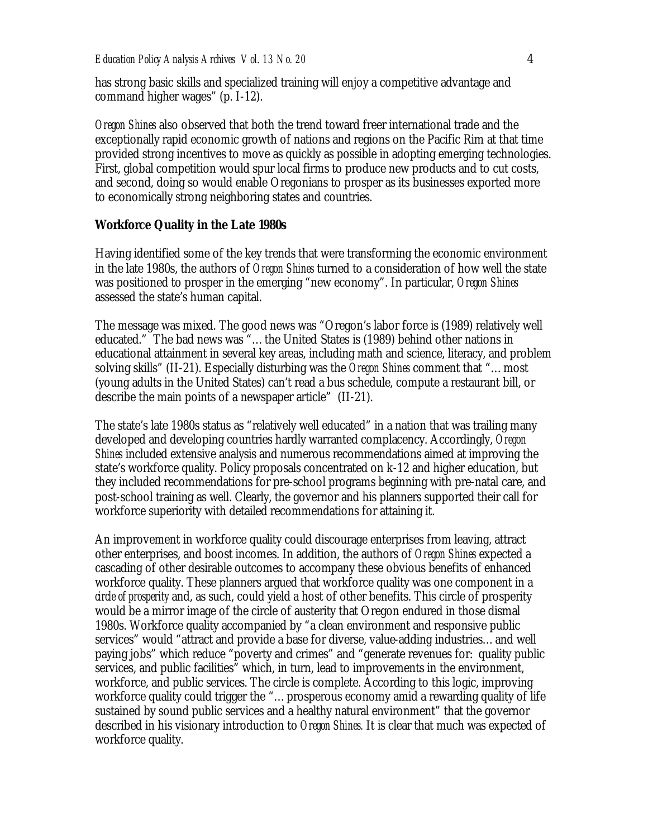has strong basic skills and specialized training will enjoy a competitive advantage and command higher wages" (p. I-12).

*Oregon Shines* also observed that both the trend toward freer international trade and the exceptionally rapid economic growth of nations and regions on the Pacific Rim at that time provided strong incentives to move as quickly as possible in adopting emerging technologies. First, global competition would spur local firms to produce new products and to cut costs, and second, doing so would enable Oregonians to prosper as its businesses exported more to economically strong neighboring states and countries.

#### **Workforce Quality in the Late 1980s**

Having identified some of the key trends that were transforming the economic environment in the late 1980s, the authors of *Oregon Shines* turned to a consideration of how well the state was positioned to prosper in the emerging "new economy". In particular, *Oregon Shines* assessed the state's human capital.

The message was mixed. The good news was "Oregon's labor force is (1989) relatively well educated." The bad news was "…the United States is (1989) behind other nations in educational attainment in several key areas, including math and science, literacy, and problem solving skills" (II-21). Especially disturbing was the *Oregon Shines* comment that "…most (young adults in the United States) can't read a bus schedule, compute a restaurant bill, or describe the main points of a newspaper article" (II-21).

The state's late 1980s status as "relatively well educated" in a nation that was trailing many developed and developing countries hardly warranted complacency. Accordingly, *Oregon Shines* included extensive analysis and numerous recommendations aimed at improving the state's workforce quality. Policy proposals concentrated on k-12 and higher education, but they included recommendations for pre-school programs beginning with pre-natal care, and post-school training as well. Clearly, the governor and his planners supported their call for workforce superiority with detailed recommendations for attaining it.

An improvement in workforce quality could discourage enterprises from leaving, attract other enterprises, and boost incomes. In addition, the authors of *Oregon Shines* expected a cascading of other desirable outcomes to accompany these obvious benefits of enhanced workforce quality. These planners argued that workforce quality was one component in a *circle of prosperity* and, as such, could yield a host of other benefits. This circle of prosperity would be a mirror image of the circle of austerity that Oregon endured in those dismal 1980s. Workforce quality accompanied by "a clean environment and responsive public services" would "attract and provide a base for diverse, value-adding industries…and well paying jobs" which reduce "poverty and crimes" and "generate revenues for: quality public services, and public facilities" which, in turn, lead to improvements in the environment, workforce, and public services. The circle is complete. According to this logic, improving workforce quality could trigger the "…prosperous economy amid a rewarding quality of life sustained by sound public services and a healthy natural environment" that the governor described in his visionary introduction to *Oregon Shines.* It is clear that much was expected of workforce quality.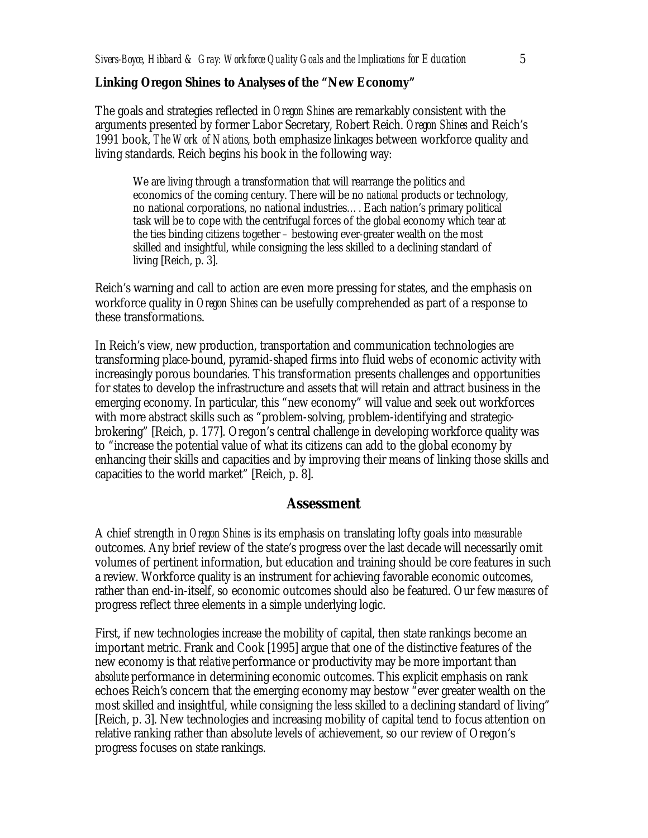#### **Linking** *Oregon Shines* **to Analyses of the "New Economy"**

The goals and strategies reflected in *Oregon Shines* are remarkably consistent with the arguments presented by former Labor Secretary, Robert Reich. *Oregon Shines* and Reich's 1991 book, *The Work of Nations*, both emphasize linkages between workforce quality and living standards. Reich begins his book in the following way:

We are living through a transformation that will rearrange the politics and economics of the coming century. There will be no *national* products or technology, no national corporations, no national industries…. Each nation's primary political task will be to cope with the centrifugal forces of the global economy which tear at the ties binding citizens together – bestowing ever-greater wealth on the most skilled and insightful, while consigning the less skilled to a declining standard of living [Reich, p. 3].

Reich's warning and call to action are even more pressing for states, and the emphasis on workforce quality in *Oregon Shines* can be usefully comprehended as part of a response to these transformations.

In Reich's view, new production, transportation and communication technologies are transforming place-bound, pyramid-shaped firms into fluid webs of economic activity with increasingly porous boundaries. This transformation presents challenges and opportunities for states to develop the infrastructure and assets that will retain and attract business in the emerging economy. In particular, this "new economy" will value and seek out workforces with more abstract skills such as "problem-solving, problem-identifying and strategicbrokering" [Reich, p. 177]. Oregon's central challenge in developing workforce quality was to "increase the potential value of what its citizens can add to the global economy by enhancing their skills and capacities and by improving their means of linking those skills and capacities to the world market" [Reich, p. 8].

#### **Assessment**

A chief strength in *Oregon Shines* is its emphasis on translating lofty goals into *measurable* outcomes. Any brief review of the state's progress over the last decade will necessarily omit volumes of pertinent information, but education and training should be core features in such a review. Workforce quality is an instrument for achieving favorable economic outcomes, rather than end-in-itself, so economic outcomes should also be featured. Our few *measures* of progress reflect three elements in a simple underlying logic.

First, if new technologies increase the mobility of capital, then state rankings become an important metric. Frank and Cook [1995] argue that one of the distinctive features of the new economy is that *relative* performance or productivity may be more important than *absolute* performance in determining economic outcomes. This explicit emphasis on rank echoes Reich's concern that the emerging economy may bestow "ever greater wealth on the most skilled and insightful, while consigning the less skilled to a declining standard of living" [Reich, p. 3]. New technologies and increasing mobility of capital tend to focus attention on relative ranking rather than absolute levels of achievement, so our review of Oregon's progress focuses on state rankings.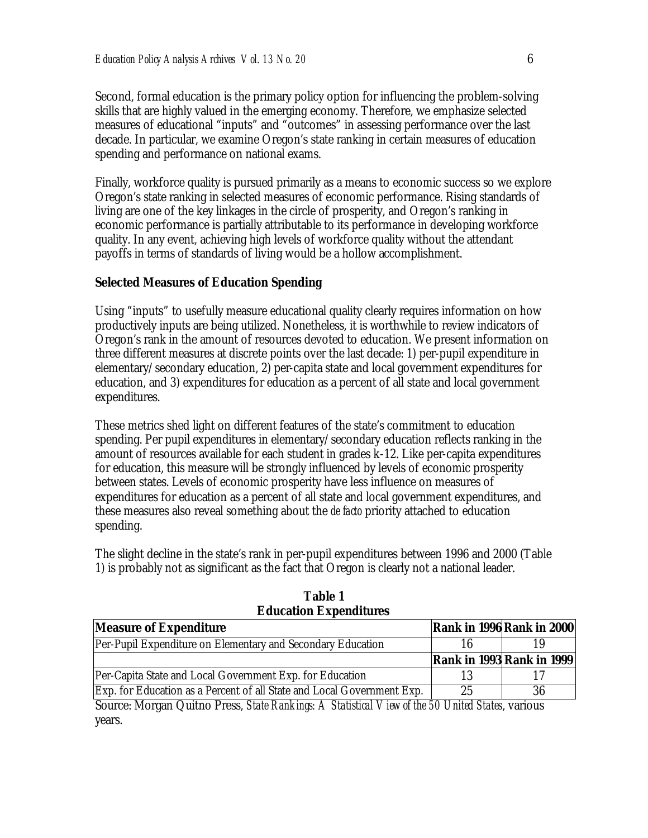Second, formal education is the primary policy option for influencing the problem-solving skills that are highly valued in the emerging economy. Therefore, we emphasize selected measures of educational "inputs" and "outcomes" in assessing performance over the last decade. In particular, we examine Oregon's state ranking in certain measures of education spending and performance on national exams.

Finally, workforce quality is pursued primarily as a means to economic success so we explore Oregon's state ranking in selected measures of economic performance. Rising standards of living are one of the key linkages in the circle of prosperity, and Oregon's ranking in economic performance is partially attributable to its performance in developing workforce quality. In any event, achieving high levels of workforce quality without the attendant payoffs in terms of standards of living would be a hollow accomplishment.

#### **Selected Measures of Education Spending**

Using "inputs" to usefully measure educational quality clearly requires information on how productively inputs are being utilized. Nonetheless, it is worthwhile to review indicators of Oregon's rank in the amount of resources devoted to education. We present information on three different measures at discrete points over the last decade: 1) per-pupil expenditure in elementary/secondary education, 2) per-capita state and local government expenditures for education, and 3) expenditures for education as a percent of all state and local government expenditures.

These metrics shed light on different features of the state's commitment to education spending. Per pupil expenditures in elementary/secondary education reflects ranking in the amount of resources available for each student in grades k-12. Like per-capita expenditures for education, this measure will be strongly influenced by levels of economic prosperity between states. Levels of economic prosperity have less influence on measures of expenditures for education as a percent of all state and local government expenditures, and these measures also reveal something about the *de facto* priority attached to education spending.

The slight decline in the state's rank in per-pupil expenditures between 1996 and 2000 (Table 1) is probably not as significant as the fact that Oregon is clearly not a national leader.

| <b>Measure of Expenditure</b>                                          |          | <b>Rank in 1996 Rank in 2000</b> |
|------------------------------------------------------------------------|----------|----------------------------------|
| Per-Pupil Expenditure on Elementary and Secondary Education            |          |                                  |
|                                                                        |          | <b>Rank in 1993 Rank in 1999</b> |
| Per-Capita State and Local Government Exp. for Education               |          |                                  |
| Exp. for Education as a Percent of all State and Local Government Exp. | 25       |                                  |
| $\overline{a}$                                                         | $\cdots$ |                                  |

**Table 1 Education Expenditures**

Source: Morgan Quitno Press, *State Rankings: A Statistical View of the 50 United States*, various years.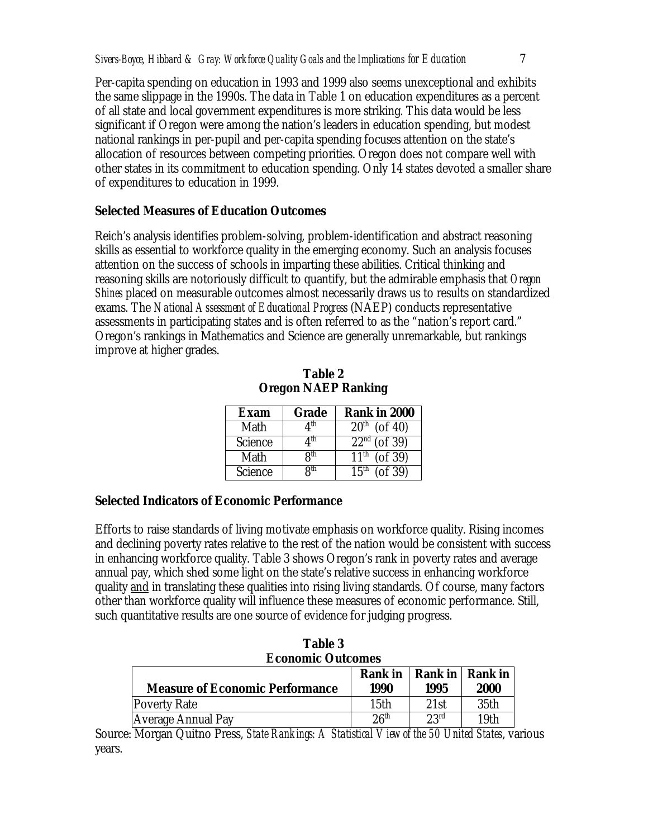Per-capita spending on education in 1993 and 1999 also seems unexceptional and exhibits the same slippage in the 1990s. The data in Table 1 on education expenditures as a percent of all state and local government expenditures is more striking. This data would be less significant if Oregon were among the nation's leaders in education spending, but modest national rankings in per-pupil and per-capita spending focuses attention on the state's allocation of resources between competing priorities. Oregon does not compare well with other states in its commitment to education spending. Only 14 states devoted a smaller share of expenditures to education in 1999.

### **Selected Measures of Education Outcomes**

Reich's analysis identifies problem-solving, problem-identification and abstract reasoning skills as essential to workforce quality in the emerging economy. Such an analysis focuses attention on the success of schools in imparting these abilities. Critical thinking and reasoning skills are notoriously difficult to quantify, but the admirable emphasis that *Oregon Shines* placed on measurable outcomes almost necessarily draws us to results on standardized exams. The *National Assessment of Educational Progress* (NAEP) conducts representative assessments in participating states and is often referred to as the "nation's report card." Oregon's rankings in Mathematics and Science are generally unremarkable, but rankings improve at higher grades.

| Exam           | <b>Grade</b>    | <b>Rank in 2000</b>               |
|----------------|-----------------|-----------------------------------|
| Math           | ⊿th             | $\sqrt{20^{th}}$ (of 40)          |
| <b>Science</b> | ⊿th             | $\overline{22^{nd}$ (of 39)       |
| Math           | R <sup>th</sup> | $($ of 39 $)$<br>11 <sup>th</sup> |
| Science        | Ջ <sup>th</sup> | $($ of 39 $)$<br>15 <sup>th</sup> |

**Table 2 Oregon NAEP Ranking**

### **Selected Indicators of Economic Performance**

Efforts to raise standards of living motivate emphasis on workforce quality. Rising incomes and declining poverty rates relative to the rest of the nation would be consistent with success in enhancing workforce quality. Table 3 shows Oregon's rank in poverty rates and average annual pay, which shed some light on the state's relative success in enhancing workforce quality and in translating these qualities into rising living standards. Of course, many factors other than workforce quality will influence these measures of economic performance. Still, such quantitative results are one source of evidence for judging progress.

| <b>Table 3</b><br><b>Economic Outcomes</b> |                  |               |                  |  |  |
|--------------------------------------------|------------------|---------------|------------------|--|--|
|                                            |                  |               |                  |  |  |
| <b>Measure of Economic Performance</b>     | 1990             | 1995          | <b>2000</b>      |  |  |
| <b>Poverty Rate</b>                        | 15th             | 21st          | 35th             |  |  |
| <b>Average Annual Pay</b>                  | 26 <sup>th</sup> | $23^{\rm rd}$ | 19 <sub>th</sub> |  |  |

Source: Morgan Quitno Press, *State Rankings: A Statistical View of the 50 United States*, various years.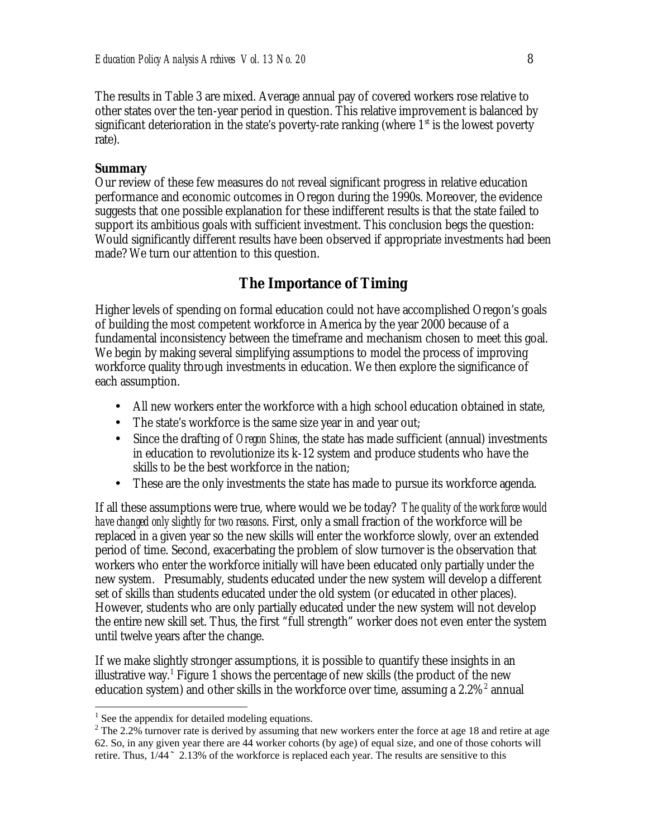The results in Table 3 are mixed. Average annual pay of covered workers rose relative to other states over the ten-year period in question. This relative improvement is balanced by significant deterioration in the state's poverty-rate ranking (where  $1<sup>st</sup>$  is the lowest poverty rate).

#### **Summary**

Our review of these few measures do *not* reveal significant progress in relative education performance and economic outcomes in Oregon during the 1990s. Moreover, the evidence suggests that one possible explanation for these indifferent results is that the state failed to support its ambitious goals with sufficient investment. This conclusion begs the question: Would significantly different results have been observed if appropriate investments had been made? We turn our attention to this question.

### **The Importance of Timing**

Higher levels of spending on formal education could not have accomplished Oregon's goals of building the most competent workforce in America by the year 2000 because of a fundamental inconsistency between the timeframe and mechanism chosen to meet this goal. We begin by making several simplifying assumptions to model the process of improving workforce quality through investments in education. We then explore the significance of each assumption.

- All new workers enter the workforce with a high school education obtained in state,
- The state's workforce is the same size year in and year out;
- Since the drafting of *Oregon Shines*, the state has made sufficient (annual) investments in education to revolutionize its k-12 system and produce students who have the skills to be the best workforce in the nation;
- These are the only investments the state has made to pursue its workforce agenda.

If all these assumptions were true, where would we be today? *The quality of the workforce would have changed only slightly for two reasons*. First, only a small fraction of the workforce will be replaced in a given year so the new skills will enter the workforce slowly, over an extended period of time. Second, exacerbating the problem of slow turnover is the observation that workers who enter the workforce initially will have been educated only partially under the new system. Presumably, students educated under the new system will develop a different set of skills than students educated under the old system (or educated in other places). However, students who are only partially educated under the new system will not develop the entire new skill set. Thus, the first "full strength" worker does not even enter the system until twelve years after the change.

If we make slightly stronger assumptions, it is possible to quantify these insights in an illustrative way.<sup>1</sup> Figure 1 shows the percentage of new skills (the product of the new education system) and other skills in the workforce over time, assuming a  $2.2\%$ <sup>2</sup> annual

 $\overline{a}$ 

<sup>&</sup>lt;sup>1</sup> See the appendix for detailed modeling equations.

<sup>&</sup>lt;sup>2</sup> The 2.2% turnover rate is derived by assuming that new workers enter the force at age 18 and retire at age 62. So, in any given year there are 44 worker cohorts (by age) of equal size, and one of those cohorts will retire. Thus,  $1/44 \sim 2.13\%$  of the workforce is replaced each year. The results are sensitive to this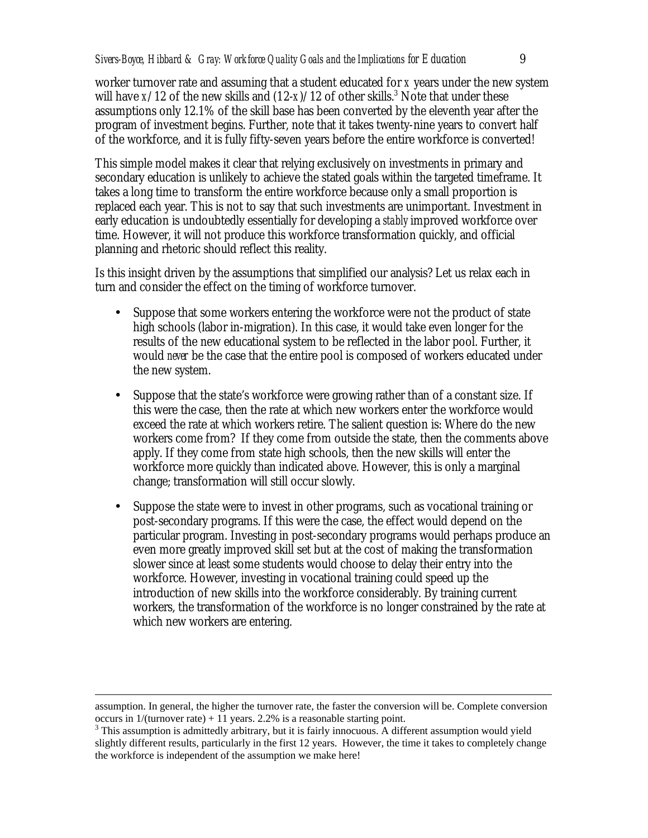worker turnover rate and assuming that a student educated for *x* years under the new system will have  $x/12$  of the new skills and  $(12-x)/12$  of other skills.<sup>3</sup> Note that under these assumptions only 12.1% of the skill base has been converted by the eleventh year after the program of investment begins. Further, note that it takes twenty-nine years to convert half of the workforce, and it is fully fifty-seven years before the entire workforce is converted!

This simple model makes it clear that relying exclusively on investments in primary and secondary education is unlikely to achieve the stated goals within the targeted timeframe. It takes a long time to transform the entire workforce because only a small proportion is replaced each year. This is not to say that such investments are unimportant. Investment in early education is undoubtedly essentially for developing a *stably* improved workforce over time. However, it will not produce this workforce transformation quickly, and official planning and rhetoric should reflect this reality.

Is this insight driven by the assumptions that simplified our analysis? Let us relax each in turn and consider the effect on the timing of workforce turnover.

- Suppose that some workers entering the workforce were not the product of state high schools (labor in-migration). In this case, it would take even longer for the results of the new educational system to be reflected in the labor pool. Further, it would *never* be the case that the entire pool is composed of workers educated under the new system.
- Suppose that the state's workforce were growing rather than of a constant size. If this were the case, then the rate at which new workers enter the workforce would exceed the rate at which workers retire. The salient question is: Where do the new workers come from? If they come from outside the state, then the comments above apply. If they come from state high schools, then the new skills will enter the workforce more quickly than indicated above. However, this is only a marginal change; transformation will still occur slowly.
- Suppose the state were to invest in other programs, such as vocational training or post-secondary programs. If this were the case, the effect would depend on the particular program. Investing in post-secondary programs would perhaps produce an even more greatly improved skill set but at the cost of making the transformation slower since at least some students would choose to delay their entry into the workforce. However, investing in vocational training could speed up the introduction of new skills into the workforce considerably. By training current workers, the transformation of the workforce is no longer constrained by the rate at which new workers are entering.

 $\overline{a}$ 

assumption. In general, the higher the turnover rate, the faster the conversion will be. Complete conversion occurs in  $1/$ (turnover rate) + 11 years. 2.2% is a reasonable starting point.

<sup>&</sup>lt;sup>3</sup> This assumption is admittedly arbitrary, but it is fairly innocuous. A different assumption would yield slightly different results, particularly in the first 12 years. However, the time it takes to completely change the workforce is independent of the assumption we make here!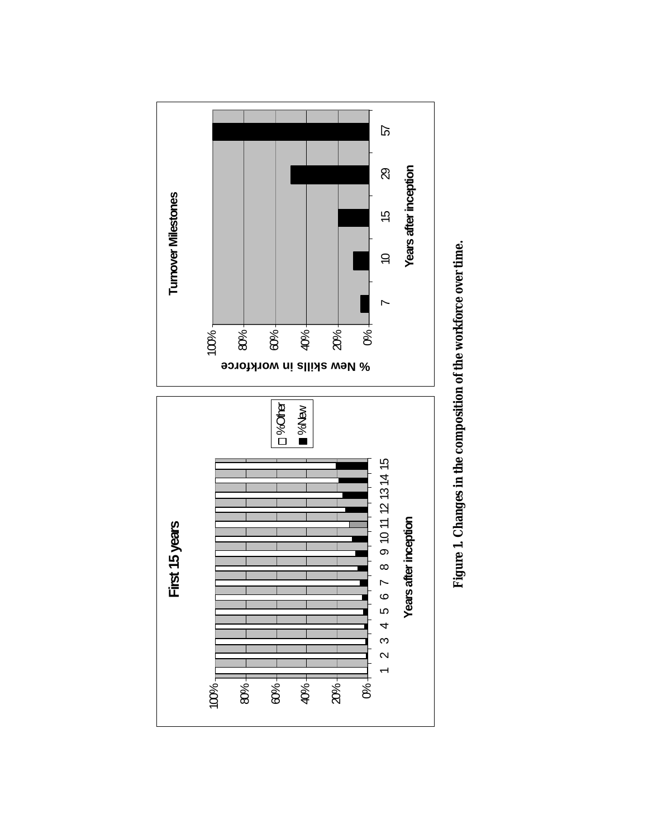

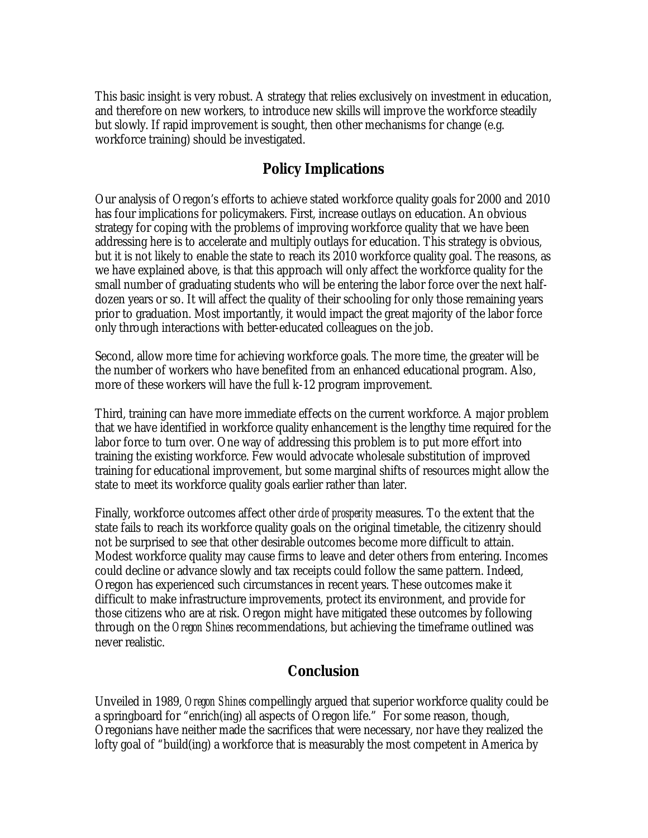This basic insight is very robust. A strategy that relies exclusively on investment in education, and therefore on new workers, to introduce new skills will improve the workforce steadily but slowly. If rapid improvement is sought, then other mechanisms for change (e.g. workforce training) should be investigated.

## **Policy Implications**

Our analysis of Oregon's efforts to achieve stated workforce quality goals for 2000 and 2010 has four implications for policymakers. First, increase outlays on education. An obvious strategy for coping with the problems of improving workforce quality that we have been addressing here is to accelerate and multiply outlays for education. This strategy is obvious, but it is not likely to enable the state to reach its 2010 workforce quality goal. The reasons, as we have explained above, is that this approach will only affect the workforce quality for the small number of graduating students who will be entering the labor force over the next halfdozen years or so. It will affect the quality of their schooling for only those remaining years prior to graduation. Most importantly, it would impact the great majority of the labor force only through interactions with better-educated colleagues on the job.

Second, allow more time for achieving workforce goals. The more time, the greater will be the number of workers who have benefited from an enhanced educational program. Also, more of these workers will have the full k-12 program improvement.

Third, training can have more immediate effects on the current workforce. A major problem that we have identified in workforce quality enhancement is the lengthy time required for the labor force to turn over. One way of addressing this problem is to put more effort into training the existing workforce. Few would advocate wholesale substitution of improved training for educational improvement, but some marginal shifts of resources might allow the state to meet its workforce quality goals earlier rather than later.

Finally, workforce outcomes affect other *circle of prosperity* measures. To the extent that the state fails to reach its workforce quality goals on the original timetable, the citizenry should not be surprised to see that other desirable outcomes become more difficult to attain. Modest workforce quality may cause firms to leave and deter others from entering. Incomes could decline or advance slowly and tax receipts could follow the same pattern. Indeed, Oregon has experienced such circumstances in recent years. These outcomes make it difficult to make infrastructure improvements, protect its environment, and provide for those citizens who are at risk. Oregon might have mitigated these outcomes by following through on the *Oregon Shines* recommendations, but achieving the timeframe outlined was never realistic.

## **Conclusion**

Unveiled in 1989, *Oregon Shines* compellingly argued that superior workforce quality could be a springboard for "enrich(ing) all aspects of Oregon life." For some reason, though, Oregonians have neither made the sacrifices that were necessary, nor have they realized the lofty goal of "build(ing) a workforce that is measurably the most competent in America by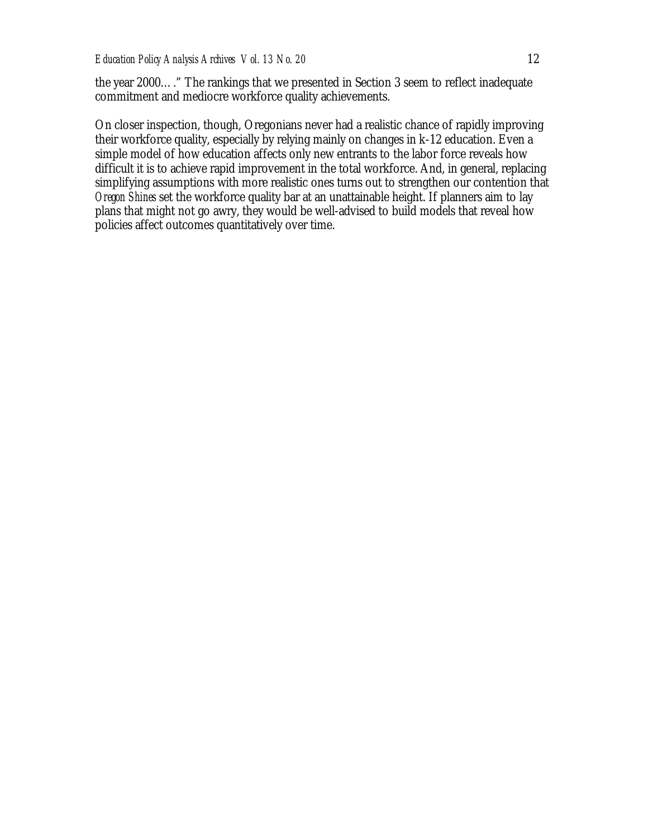the year 2000…." The rankings that we presented in Section 3 seem to reflect inadequate commitment and mediocre workforce quality achievements.

On closer inspection, though, Oregonians never had a realistic chance of rapidly improving their workforce quality, especially by relying mainly on changes in k-12 education. Even a simple model of how education affects only new entrants to the labor force reveals how difficult it is to achieve rapid improvement in the total workforce. And, in general, replacing simplifying assumptions with more realistic ones turns out to strengthen our contention that *Oregon Shines* set the workforce quality bar at an unattainable height. If planners aim to lay plans that might not go awry, they would be well-advised to build models that reveal how policies affect outcomes quantitatively over time.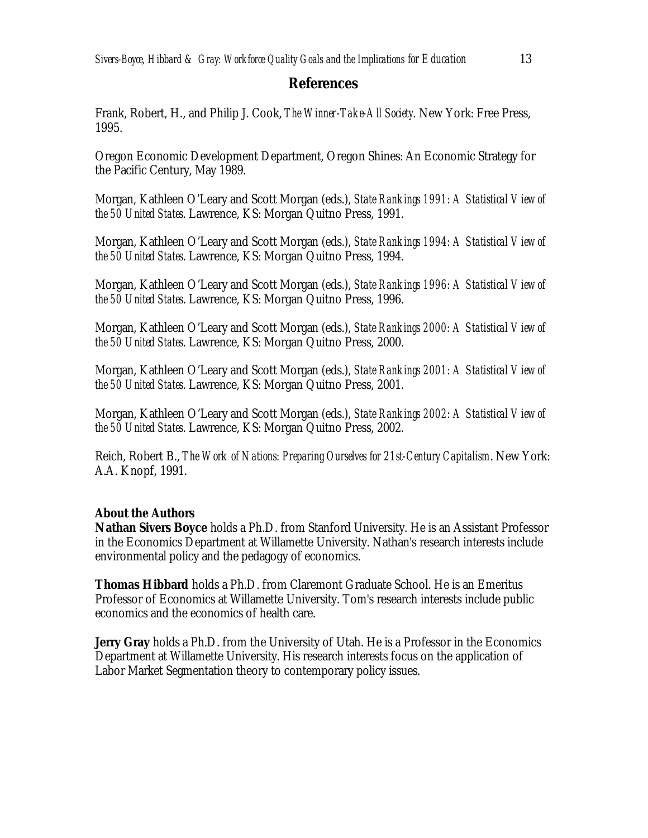### **References**

Frank, Robert, H., and Philip J. Cook, *The Winner-Take-All Society*. New York: Free Press, 1995.

Oregon Economic Development Department, Oregon Shines: An Economic Strategy for the Pacific Century, May 1989.

Morgan, Kathleen O'Leary and Scott Morgan (eds.), *State Rankings 1991: A Statistical View of the 50 United States*. Lawrence, KS: Morgan Quitno Press, 1991.

Morgan, Kathleen O'Leary and Scott Morgan (eds.), *State Rankings 1994: A Statistical View of the 50 United States*. Lawrence, KS: Morgan Quitno Press, 1994.

Morgan, Kathleen O'Leary and Scott Morgan (eds.), *State Rankings 1996: A Statistical View of the 50 United States*. Lawrence, KS: Morgan Quitno Press, 1996.

Morgan, Kathleen O'Leary and Scott Morgan (eds.), *State Rankings 2000: A Statistical View of the 50 United States*. Lawrence, KS: Morgan Quitno Press, 2000.

Morgan, Kathleen O'Leary and Scott Morgan (eds.), *State Rankings 2001: A Statistical View of the 50 United States*. Lawrence, KS: Morgan Quitno Press, 2001.

Morgan, Kathleen O'Leary and Scott Morgan (eds.), *State Rankings 2002: A Statistical View of the 50 United States*. Lawrence, KS: Morgan Quitno Press, 2002.

Reich, Robert B., *The Work of Nations: Preparing Ourselves for 21st-Century Capitalism*. New York: A.A. Knopf, 1991.

### **About the Authors**

**Nathan Sivers Boyce** holds a Ph.D. from Stanford University. He is an Assistant Professor in the Economics Department at Willamette University. Nathan's research interests include environmental policy and the pedagogy of economics.

**Thomas Hibbard** holds a Ph.D. from Claremont Graduate School. He is an Emeritus Professor of Economics at Willamette University. Tom's research interests include public economics and the economics of health care.

**Jerry Gray** holds a Ph.D. from the University of Utah. He is a Professor in the Economics Department at Willamette University. His research interests focus on the application of Labor Market Segmentation theory to contemporary policy issues.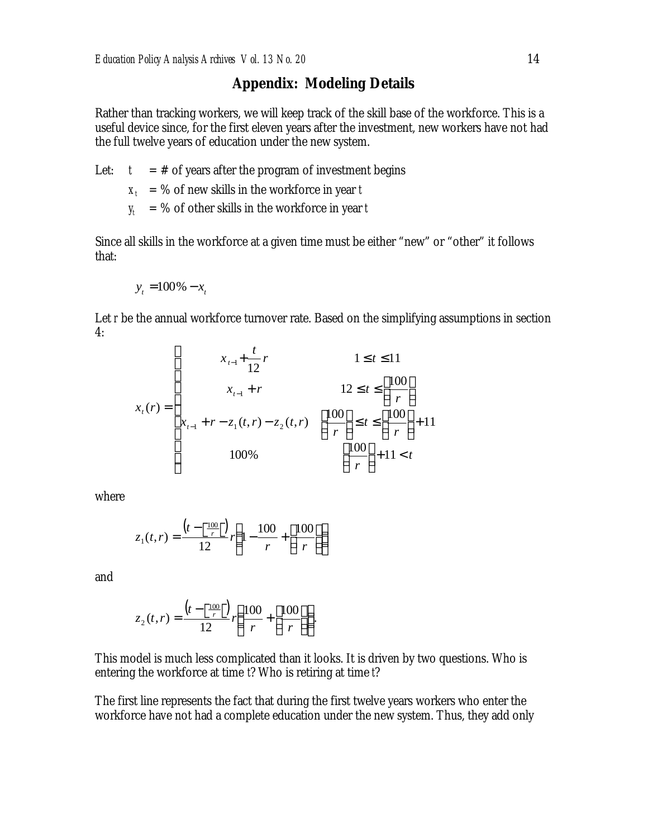### **Appendix: Modeling Details**

Rather than tracking workers, we will keep track of the skill base of the workforce. This is a useful device since, for the first eleven years after the investment, new workers have not had the full twelve years of education under the new system.

Let:  $t = #$  of years after the program of investment begins

 $X_t = %$  of new skills in the workforce in year *t* 

 $y_t = %$  of other skills in the workforce in year *t* 

Since all skills in the workforce at a given time must be either "new" or "other" it follows that:

$$
y_t = 100\% - x_t
$$

Let *r* be the annual workforce turnover rate. Based on the simplifying assumptions in section 4:

$$
x_{t-1} + \frac{t}{12}r
$$
  
\n
$$
x_{t-1} + r
$$
  
\n
$$
x_{t-1} + r
$$
  
\n
$$
1 \le t \le 11
$$
  
\n
$$
12 \le t \le \left\lfloor \frac{100}{r} \right\rfloor
$$
  
\n
$$
x_{t-1} + r - z_1(t, r) - z_2(t, r)
$$
  
\n
$$
\left\lceil \frac{100}{r} \right\rceil \le t \le \left\lceil \frac{100}{r} \right\rceil + 11 < t
$$
  
\n
$$
100\%
$$

where

$$
z_1(t,r) = \frac{\left(t - \left\lfloor \frac{100}{r} \right\rfloor\right)}{12} r \left(1 - \frac{100}{r} + \left\lfloor \frac{100}{r} \right\rfloor\right)
$$

and

$$
z_2(t,r) = \frac{\left(t - \left\lceil \frac{100}{r} \right\rceil\right)}{12} r \left( \frac{100}{r} + \left\lfloor \frac{100}{r} \right\rfloor \right).
$$

This model is much less complicated than it looks. It is driven by two questions. Who is entering the workforce at time *t*? Who is retiring at time *t*?

The first line represents the fact that during the first twelve years workers who enter the workforce have not had a complete education under the new system. Thus, they add only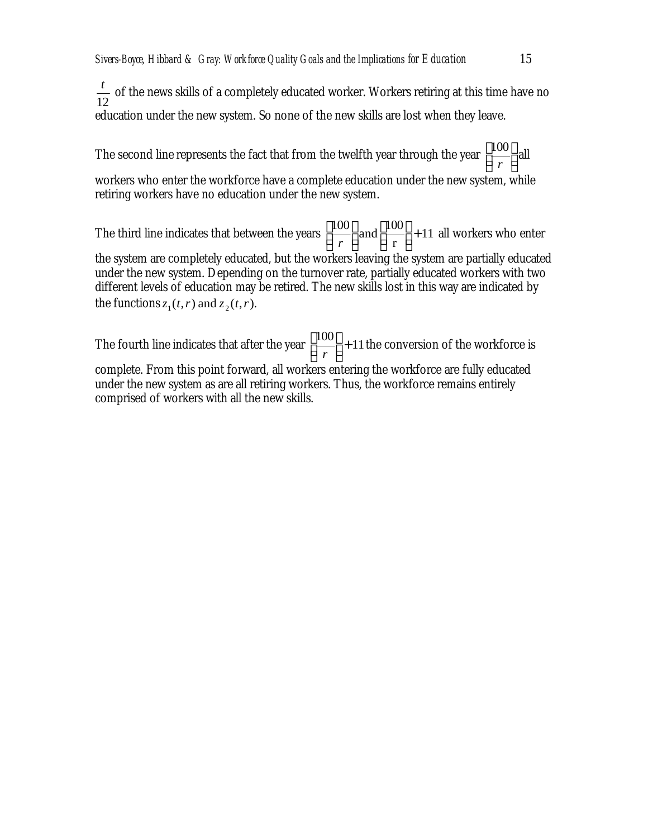12 *t* of the news skills of a completely educated worker. Workers retiring at this time have no education under the new system. So none of the new skills are lost when they leave.

The second line represents the fact that from the twelfth year through the year  $\left\lfloor \frac{100}{r} \right\rfloor$  $\overline{\phantom{a}}$ L I *r*  $\frac{100}{\text{all}}$ 

workers who enter the workforce have a complete education under the new system, while retiring workers have no education under the new system.

The third line indicates that between the years  $\frac{100}{100}$  and  $\frac{100}{100}$  + 11 r  $\left[\frac{100}{r}\right]$  and  $\left[\frac{100}{r}\right]$  +  $\overline{\phantom{a}}$  $\mathsf{I}$ L  $\overline{\phantom{a}}$  $\overline{\phantom{a}}$  $\mathsf{I}$  $\mathsf{I}$ *r* all workers who enter the system are completely educated, but the workers leaving the system are partially educated

under the new system. Depending on the turnover rate, partially educated workers with two different levels of education may be retired. The new skills lost in this way are indicated by the functions  $z_1(t, r)$  and  $z_2(t, r)$ .

The fourth line indicates that after the year  $\left\lfloor \frac{100}{r} \right\rfloor + 11$  $\overline{\phantom{a}}$  $\overline{\phantom{a}}$ L *r* the conversion of the workforce is complete. From this point forward, all workers entering the workforce are fully educated under the new system as are all retiring workers. Thus, the workforce remains entirely comprised of workers with all the new skills.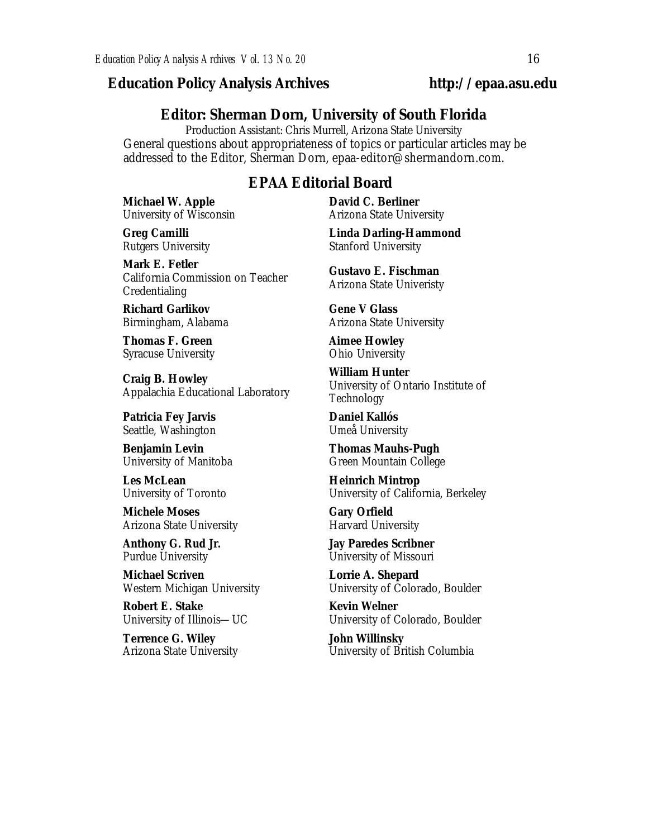### *Education Policy Analysis Archives* **http://epaa.asu.edu**

### **Editor: Sherman Dorn, University of South Florida**

Production Assistant: Chris Murrell, Arizona State University General questions about appropriateness of topics or particular articles may be addressed to the Editor, Sherman Dorn, epaa-editor@shermandorn.com.

### *EPAA* **Editorial Board**

**Michael W. Apple** University of Wisconsin

**Greg Camilli** Rutgers University

**Mark E. Fetler** California Commission on Teacher Credentialing

**Richard Garlikov** Birmingham, Alabama

**Thomas F. Green** Syracuse University

**Craig B. Howley** Appalachia Educational Laboratory

**Patricia Fey Jarvis**  Seattle, Washington

**Benjamin Levin** University of Manitoba

**Les McLean** University of Toronto

**Michele Moses** Arizona State University

**Anthony G. Rud Jr.** Purdue University

**Michael Scriven** Western Michigan University

**Robert E. Stake**  University of Illinois—UC

**Terrence G. Wiley** Arizona State University **David C. Berliner**  Arizona State University

**Linda Darling-Hammond**  Stanford University

**Gustavo E. Fischman** Arizona State Univeristy

**Gene V Glass** Arizona State University

**Aimee Howley** Ohio University

**William Hunter** University of Ontario Institute of Technology

**Daniel Kallós** Umeå University

**Thomas Mauhs-Pugh** Green Mountain College

**Heinrich Mintrop**  University of California, Berkeley

**Gary Orfield** Harvard University

**Jay Paredes Scribner** University of Missouri

**Lorrie A. Shepard** University of Colorado, Boulder

**Kevin Welner** University of Colorado, Boulder

**John Willinsky** University of British Columbia